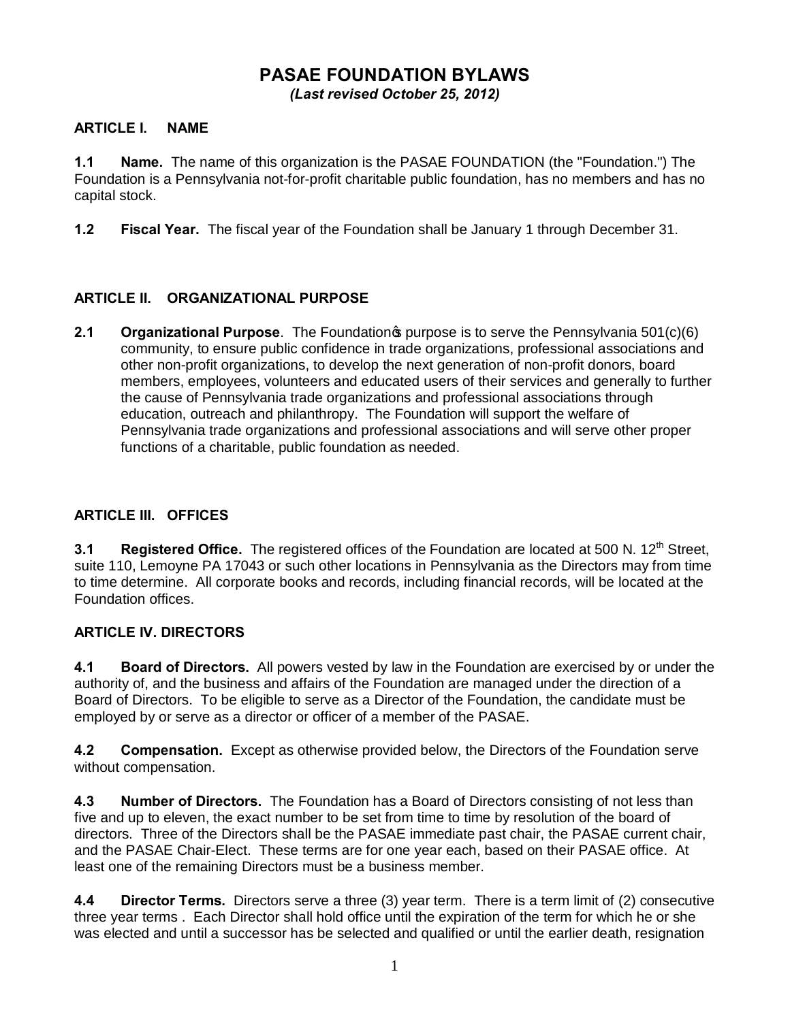# **PASAE FOUNDATION BYLAWS** *(Last revised October 25, 2012)*

### **ARTICLE I. NAME**

**1.1 Name.** The name of this organization is the PASAE FOUNDATION (the "Foundation.") The Foundation is a Pennsylvania not-for-profit charitable public foundation, has no members and has no capital stock.

**1.2 Fiscal Year.** The fiscal year of the Foundation shall be January 1 through December 31.

### **ARTICLE II. ORGANIZATIONAL PURPOSE**

**2.1 Organizational Purpose**. The Foundation<sub><sup>s</sub> purpose is to serve the Pennsylvania 501(c)(6)</sub></sup> community, to ensure public confidence in trade organizations, professional associations and other non-profit organizations, to develop the next generation of non-profit donors, board members, employees, volunteers and educated users of their services and generally to further the cause of Pennsylvania trade organizations and professional associations through education, outreach and philanthropy. The Foundation will support the welfare of Pennsylvania trade organizations and professional associations and will serve other proper functions of a charitable, public foundation as needed.

### **ARTICLE III. OFFICES**

**3.1 Registered Office.** The registered offices of the Foundation are located at 500 N. 12<sup>th</sup> Street, suite 110, Lemoyne PA 17043 or such other locations in Pennsylvania as the Directors may from time to time determine. All corporate books and records, including financial records, will be located at the Foundation offices.

#### **ARTICLE IV. DIRECTORS**

**4.1 Board of Directors.** All powers vested by law in the Foundation are exercised by or under the authority of, and the business and affairs of the Foundation are managed under the direction of a Board of Directors. To be eligible to serve as a Director of the Foundation, the candidate must be employed by or serve as a director or officer of a member of the PASAE.

**4.2 Compensation.** Except as otherwise provided below, the Directors of the Foundation serve without compensation.

**4.3 Number of Directors.** The Foundation has a Board of Directors consisting of not less than five and up to eleven, the exact number to be set from time to time by resolution of the board of directors. Three of the Directors shall be the PASAE immediate past chair, the PASAE current chair, and the PASAE Chair-Elect. These terms are for one year each, based on their PASAE office. At least one of the remaining Directors must be a business member.

**4.4 Director Terms.** Directors serve a three (3) year term. There is a term limit of (2) consecutive three year terms . Each Director shall hold office until the expiration of the term for which he or she was elected and until a successor has be selected and qualified or until the earlier death, resignation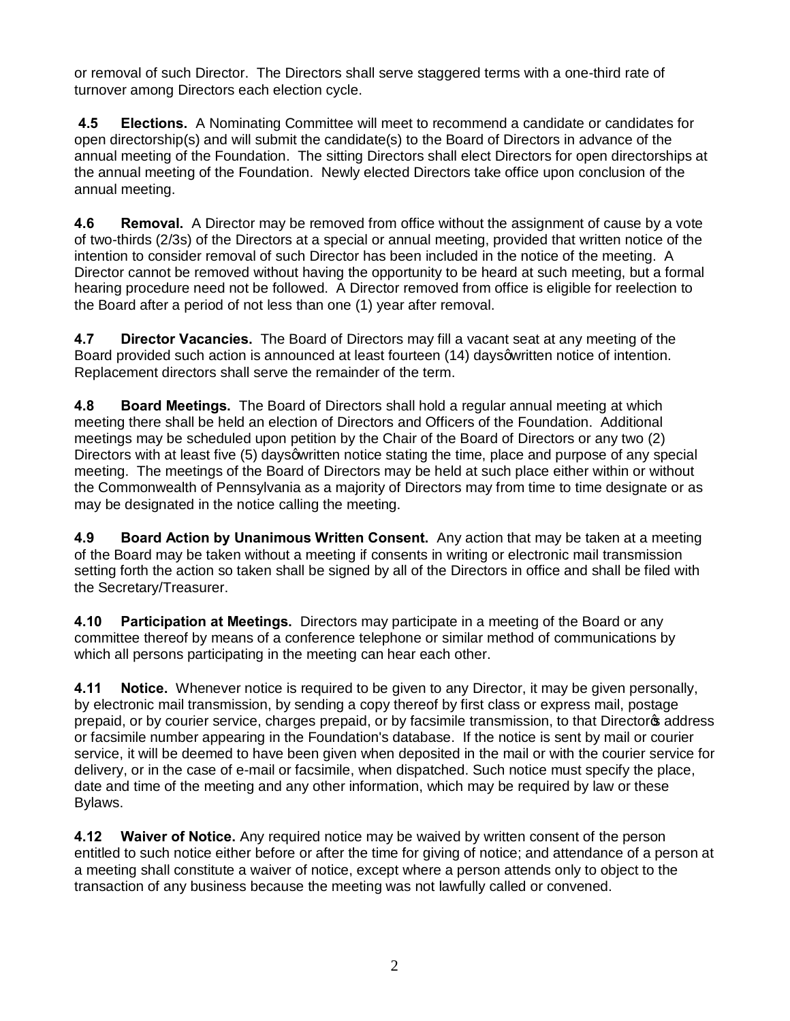or removal of such Director. The Directors shall serve staggered terms with a one-third rate of turnover among Directors each election cycle.

**4.5 Elections.** A Nominating Committee will meet to recommend a candidate or candidates for open directorship(s) and will submit the candidate(s) to the Board of Directors in advance of the annual meeting of the Foundation. The sitting Directors shall elect Directors for open directorships at the annual meeting of the Foundation. Newly elected Directors take office upon conclusion of the annual meeting.

**4.6 Removal.** A Director may be removed from office without the assignment of cause by a vote of two-thirds (2/3s) of the Directors at a special or annual meeting, provided that written notice of the intention to consider removal of such Director has been included in the notice of the meeting. A Director cannot be removed without having the opportunity to be heard at such meeting, but a formal hearing procedure need not be followed. A Director removed from office is eligible for reelection to the Board after a period of not less than one (1) year after removal.

**4.7 Director Vacancies.** The Board of Directors may fill a vacant seat at any meeting of the Board provided such action is announced at least fourteen (14) days quotiten notice of intention. Replacement directors shall serve the remainder of the term.

**4.8 Board Meetings.** The Board of Directors shall hold a regular annual meeting at which meeting there shall be held an election of Directors and Officers of the Foundation. Additional meetings may be scheduled upon petition by the Chair of the Board of Directors or any two (2) Directors with at least five (5) days a written notice stating the time, place and purpose of any special meeting. The meetings of the Board of Directors may be held at such place either within or without the Commonwealth of Pennsylvania as a majority of Directors may from time to time designate or as may be designated in the notice calling the meeting.

**4.9 Board Action by Unanimous Written Consent.** Any action that may be taken at a meeting of the Board may be taken without a meeting if consents in writing or electronic mail transmission setting forth the action so taken shall be signed by all of the Directors in office and shall be filed with the Secretary/Treasurer.

**4.10 Participation at Meetings.** Directors may participate in a meeting of the Board or any committee thereof by means of a conference telephone or similar method of communications by which all persons participating in the meeting can hear each other.

**4.11 Notice.** Whenever notice is required to be given to any Director, it may be given personally, by electronic mail transmission, by sending a copy thereof by first class or express mail, postage prepaid, or by courier service, charges prepaid, or by facsimile transmission, to that Director address or facsimile number appearing in the Foundation's database. If the notice is sent by mail or courier service, it will be deemed to have been given when deposited in the mail or with the courier service for delivery, or in the case of e-mail or facsimile, when dispatched. Such notice must specify the place, date and time of the meeting and any other information, which may be required by law or these Bylaws.

**4.12 Waiver of Notice.** Any required notice may be waived by written consent of the person entitled to such notice either before or after the time for giving of notice; and attendance of a person at a meeting shall constitute a waiver of notice, except where a person attends only to object to the transaction of any business because the meeting was not lawfully called or convened.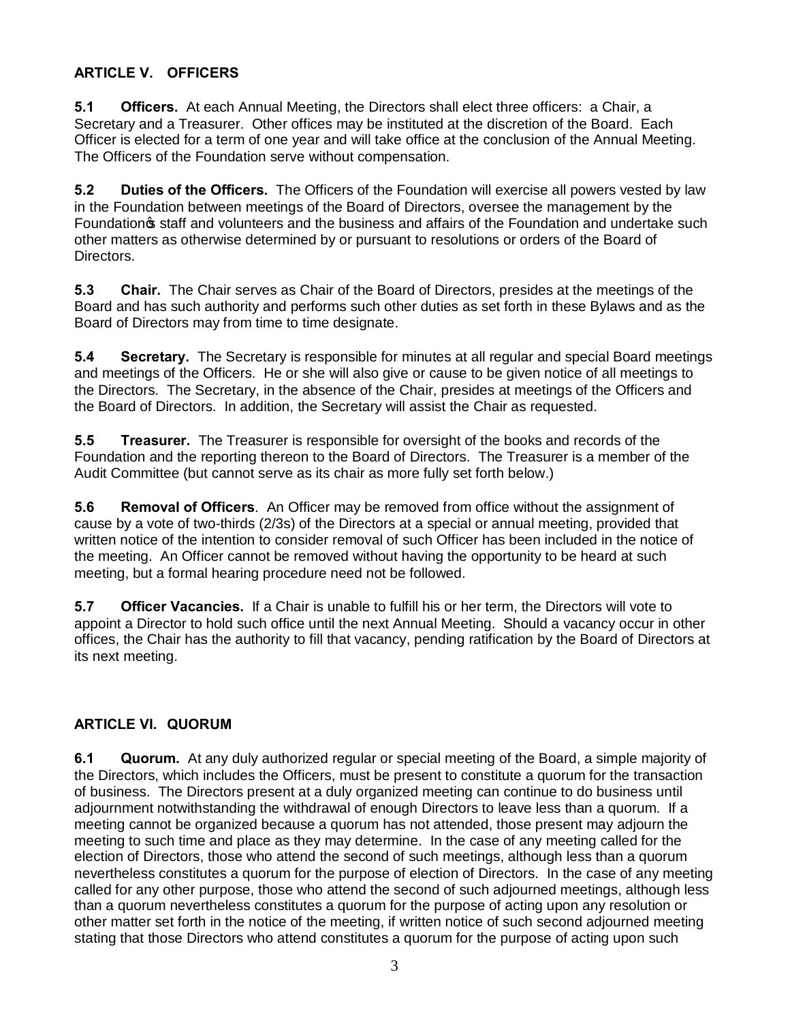## **ARTICLE V. OFFICERS**

**5.1 Officers.** At each Annual Meeting, the Directors shall elect three officers: a Chair, a Secretary and a Treasurer. Other offices may be instituted at the discretion of the Board. Each Officer is elected for a term of one year and will take office at the conclusion of the Annual Meeting. The Officers of the Foundation serve without compensation.

**5.2 Duties of the Officers.** The Officers of the Foundation will exercise all powers vested by law in the Foundation between meetings of the Board of Directors, oversee the management by the Foundation  $\boldsymbol{\mathfrak{s}}$  staff and volunteers and the business and affairs of the Foundation and undertake such other matters as otherwise determined by or pursuant to resolutions or orders of the Board of Directors.

**5.3 Chair.** The Chair serves as Chair of the Board of Directors, presides at the meetings of the Board and has such authority and performs such other duties as set forth in these Bylaws and as the Board of Directors may from time to time designate.

**5.4 Secretary.** The Secretary is responsible for minutes at all regular and special Board meetings and meetings of the Officers. He or she will also give or cause to be given notice of all meetings to the Directors. The Secretary, in the absence of the Chair, presides at meetings of the Officers and the Board of Directors. In addition, the Secretary will assist the Chair as requested.

**5.5 Treasurer.** The Treasurer is responsible for oversight of the books and records of the Foundation and the reporting thereon to the Board of Directors. The Treasurer is a member of the Audit Committee (but cannot serve as its chair as more fully set forth below.)

**5.6 Removal of Officers**. An Officer may be removed from office without the assignment of cause by a vote of two-thirds (2/3s) of the Directors at a special or annual meeting, provided that written notice of the intention to consider removal of such Officer has been included in the notice of the meeting. An Officer cannot be removed without having the opportunity to be heard at such meeting, but a formal hearing procedure need not be followed.

**5.7 Officer Vacancies.** If a Chair is unable to fulfill his or her term, the Directors will vote to appoint a Director to hold such office until the next Annual Meeting. Should a vacancy occur in other offices, the Chair has the authority to fill that vacancy, pending ratification by the Board of Directors at its next meeting.

# **ARTICLE VI. QUORUM**

**6.1 Quorum.** At any duly authorized regular or special meeting of the Board, a simple majority of the Directors, which includes the Officers, must be present to constitute a quorum for the transaction of business. The Directors present at a duly organized meeting can continue to do business until adjournment notwithstanding the withdrawal of enough Directors to leave less than a quorum. If a meeting cannot be organized because a quorum has not attended, those present may adjourn the meeting to such time and place as they may determine. In the case of any meeting called for the election of Directors, those who attend the second of such meetings, although less than a quorum nevertheless constitutes a quorum for the purpose of election of Directors. In the case of any meeting called for any other purpose, those who attend the second of such adjourned meetings, although less than a quorum nevertheless constitutes a quorum for the purpose of acting upon any resolution or other matter set forth in the notice of the meeting, if written notice of such second adjourned meeting stating that those Directors who attend constitutes a quorum for the purpose of acting upon such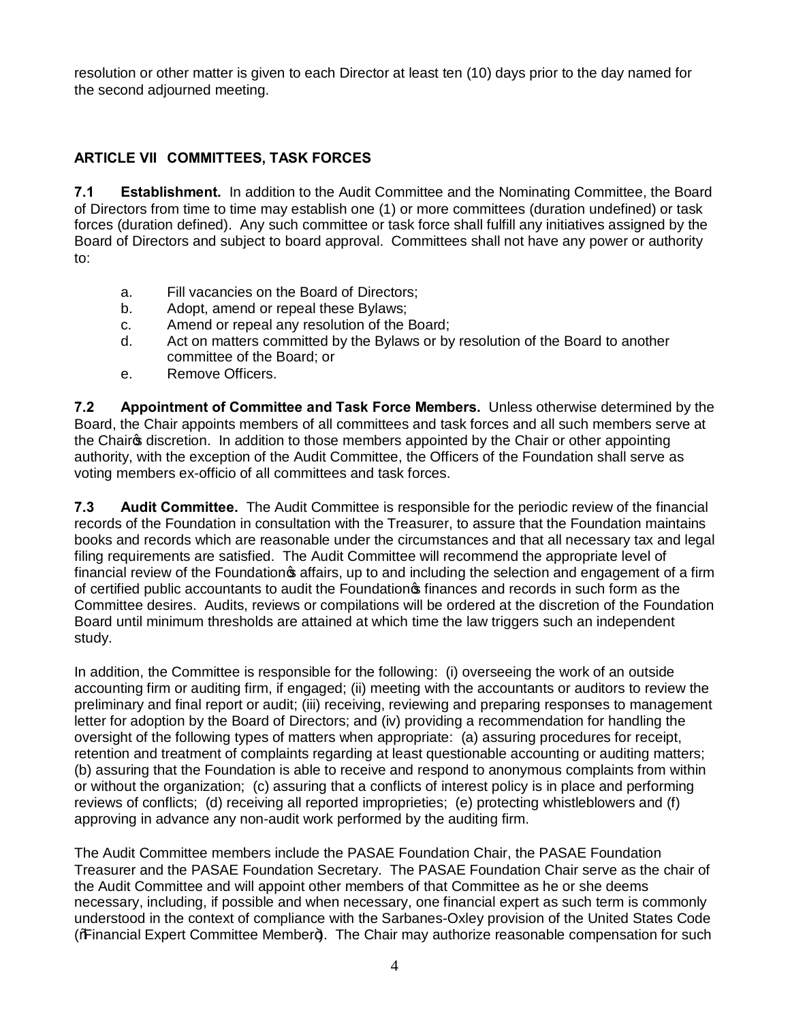resolution or other matter is given to each Director at least ten (10) days prior to the day named for the second adjourned meeting.

## **ARTICLE VII COMMITTEES, TASK FORCES**

**7.1 Establishment.** In addition to the Audit Committee and the Nominating Committee, the Board of Directors from time to time may establish one (1) or more committees (duration undefined) or task forces (duration defined). Any such committee or task force shall fulfill any initiatives assigned by the Board of Directors and subject to board approval. Committees shall not have any power or authority to:

- a. Fill vacancies on the Board of Directors;
- b. Adopt, amend or repeal these Bylaws;
- c. Amend or repeal any resolution of the Board;
- d. Act on matters committed by the Bylaws or by resolution of the Board to another committee of the Board; or
- e. Remove Officers.

**7.2 Appointment of Committee and Task Force Members.** Unless otherwise determined by the Board, the Chair appoints members of all committees and task forces and all such members serve at the Chairos discretion. In addition to those members appointed by the Chair or other appointing authority, with the exception of the Audit Committee, the Officers of the Foundation shall serve as voting members ex-officio of all committees and task forces.

**7.3 Audit Committee.** The Audit Committee is responsible for the periodic review of the financial records of the Foundation in consultation with the Treasurer, to assure that the Foundation maintains books and records which are reasonable under the circumstances and that all necessary tax and legal filing requirements are satisfied. The Audit Committee will recommend the appropriate level of financial review of the Foundation  $\boldsymbol{\mathfrak{s}}$  affairs, up to and including the selection and engagement of a firm of certified public accountants to audit the Foundation of finances and records in such form as the Committee desires. Audits, reviews or compilations will be ordered at the discretion of the Foundation Board until minimum thresholds are attained at which time the law triggers such an independent study.

In addition, the Committee is responsible for the following: (i) overseeing the work of an outside accounting firm or auditing firm, if engaged; (ii) meeting with the accountants or auditors to review the preliminary and final report or audit; (iii) receiving, reviewing and preparing responses to management letter for adoption by the Board of Directors; and (iv) providing a recommendation for handling the oversight of the following types of matters when appropriate: (a) assuring procedures for receipt, retention and treatment of complaints regarding at least questionable accounting or auditing matters; (b) assuring that the Foundation is able to receive and respond to anonymous complaints from within or without the organization; (c) assuring that a conflicts of interest policy is in place and performing reviews of conflicts; (d) receiving all reported improprieties; (e) protecting whistleblowers and (f) approving in advance any non-audit work performed by the auditing firm.

The Audit Committee members include the PASAE Foundation Chair, the PASAE Foundation Treasurer and the PASAE Foundation Secretary. The PASAE Foundation Chair serve as the chair of the Audit Committee and will appoint other members of that Committee as he or she deems necessary, including, if possible and when necessary, one financial expert as such term is commonly understood in the context of compliance with the Sarbanes-Oxley provision of the United States Code (% Financial Expert Committee Member+). The Chair may authorize reasonable compensation for such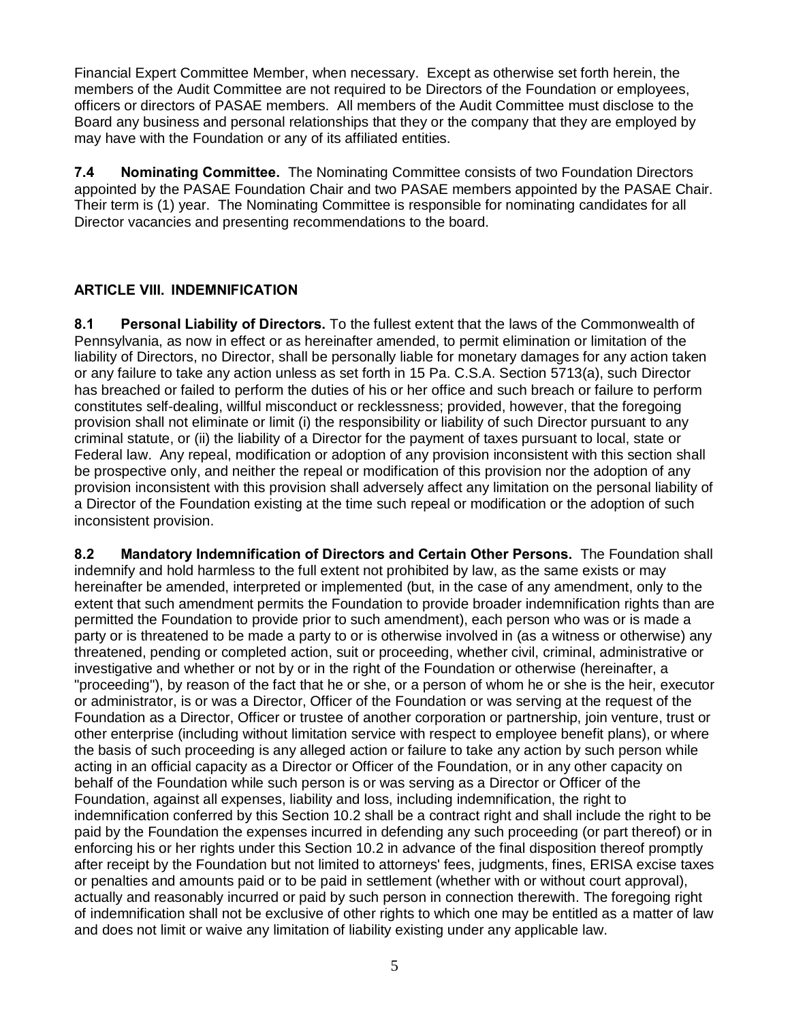Financial Expert Committee Member, when necessary. Except as otherwise set forth herein, the members of the Audit Committee are not required to be Directors of the Foundation or employees, officers or directors of PASAE members. All members of the Audit Committee must disclose to the Board any business and personal relationships that they or the company that they are employed by may have with the Foundation or any of its affiliated entities.

**7.4 Nominating Committee.** The Nominating Committee consists of two Foundation Directors appointed by the PASAE Foundation Chair and two PASAE members appointed by the PASAE Chair. Their term is (1) year. The Nominating Committee is responsible for nominating candidates for all Director vacancies and presenting recommendations to the board.

### **ARTICLE VIII. INDEMNIFICATION**

**8.1 Personal Liability of Directors.** To the fullest extent that the laws of the Commonwealth of Pennsylvania, as now in effect or as hereinafter amended, to permit elimination or limitation of the liability of Directors, no Director, shall be personally liable for monetary damages for any action taken or any failure to take any action unless as set forth in 15 Pa. C.S.A. Section 5713(a), such Director has breached or failed to perform the duties of his or her office and such breach or failure to perform constitutes self-dealing, willful misconduct or recklessness; provided, however, that the foregoing provision shall not eliminate or limit (i) the responsibility or liability of such Director pursuant to any criminal statute, or (ii) the liability of a Director for the payment of taxes pursuant to local, state or Federal law. Any repeal, modification or adoption of any provision inconsistent with this section shall be prospective only, and neither the repeal or modification of this provision nor the adoption of any provision inconsistent with this provision shall adversely affect any limitation on the personal liability of a Director of the Foundation existing at the time such repeal or modification or the adoption of such inconsistent provision.

**8.2 Mandatory Indemnification of Directors and Certain Other Persons.** The Foundation shall indemnify and hold harmless to the full extent not prohibited by law, as the same exists or may hereinafter be amended, interpreted or implemented (but, in the case of any amendment, only to the extent that such amendment permits the Foundation to provide broader indemnification rights than are permitted the Foundation to provide prior to such amendment), each person who was or is made a party or is threatened to be made a party to or is otherwise involved in (as a witness or otherwise) any threatened, pending or completed action, suit or proceeding, whether civil, criminal, administrative or investigative and whether or not by or in the right of the Foundation or otherwise (hereinafter, a "proceeding"), by reason of the fact that he or she, or a person of whom he or she is the heir, executor or administrator, is or was a Director, Officer of the Foundation or was serving at the request of the Foundation as a Director, Officer or trustee of another corporation or partnership, join venture, trust or other enterprise (including without limitation service with respect to employee benefit plans), or where the basis of such proceeding is any alleged action or failure to take any action by such person while acting in an official capacity as a Director or Officer of the Foundation, or in any other capacity on behalf of the Foundation while such person is or was serving as a Director or Officer of the Foundation, against all expenses, liability and loss, including indemnification, the right to indemnification conferred by this Section 10.2 shall be a contract right and shall include the right to be paid by the Foundation the expenses incurred in defending any such proceeding (or part thereof) or in enforcing his or her rights under this Section 10.2 in advance of the final disposition thereof promptly after receipt by the Foundation but not limited to attorneys' fees, judgments, fines, ERISA excise taxes or penalties and amounts paid or to be paid in settlement (whether with or without court approval), actually and reasonably incurred or paid by such person in connection therewith. The foregoing right of indemnification shall not be exclusive of other rights to which one may be entitled as a matter of law and does not limit or waive any limitation of liability existing under any applicable law.